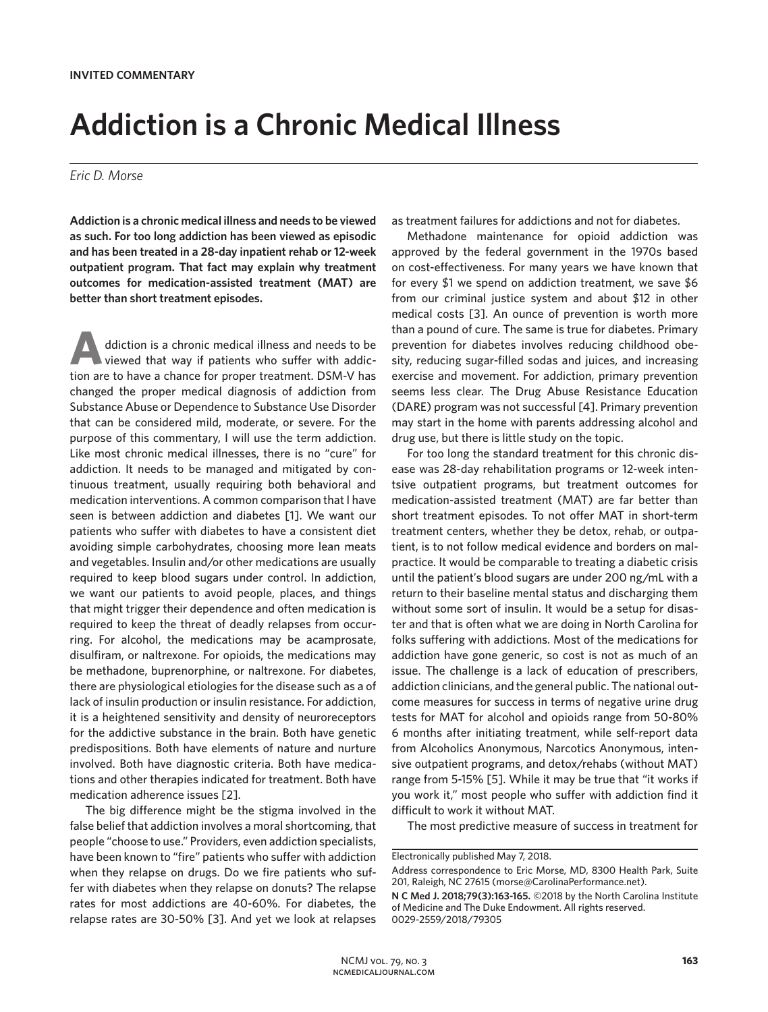## **Addiction is a Chronic Medical Illness**

## *Eric D. Morse*

**Addiction is a chronic medical illness and needs to be viewed as such. For too long addiction has been viewed as episodic and has been treated in a 28-day inpatient rehab or 12-week outpatient program. That fact may explain why treatment outcomes for medication-assisted treatment (MAT) are better than short treatment episodes.**

**A**ddiction is a chronic medical illness and needs to be viewed that way if patients who suffer with addiction are to have a chance for proper treatment. DSM-V has changed the proper medical diagnosis of addiction from Substance Abuse or Dependence to Substance Use Disorder that can be considered mild, moderate, or severe. For the purpose of this commentary, I will use the term addiction. Like most chronic medical illnesses, there is no "cure" for addiction. It needs to be managed and mitigated by continuous treatment, usually requiring both behavioral and medication interventions. A common comparison that I have seen is between addiction and diabetes [1]. We want our patients who suffer with diabetes to have a consistent diet avoiding simple carbohydrates, choosing more lean meats and vegetables. Insulin and/or other medications are usually required to keep blood sugars under control. In addiction, we want our patients to avoid people, places, and things that might trigger their dependence and often medication is required to keep the threat of deadly relapses from occurring. For alcohol, the medications may be acamprosate, disulfiram, or naltrexone. For opioids, the medications may be methadone, buprenorphine, or naltrexone. For diabetes, there are physiological etiologies for the disease such as a of lack of insulin production or insulin resistance. For addiction, it is a heightened sensitivity and density of neuroreceptors for the addictive substance in the brain. Both have genetic predispositions. Both have elements of nature and nurture involved. Both have diagnostic criteria. Both have medications and other therapies indicated for treatment. Both have medication adherence issues [2].

The big difference might be the stigma involved in the false belief that addiction involves a moral shortcoming, that people "choose to use." Providers, even addiction specialists, have been known to "fire" patients who suffer with addiction when they relapse on drugs. Do we fire patients who suffer with diabetes when they relapse on donuts? The relapse rates for most addictions are 40-60%. For diabetes, the relapse rates are 30-50% [3]. And yet we look at relapses

as treatment failures for addictions and not for diabetes.

Methadone maintenance for opioid addiction was approved by the federal government in the 1970s based on cost-effectiveness. For many years we have known that for every \$1 we spend on addiction treatment, we save \$6 from our criminal justice system and about \$12 in other medical costs [3]. An ounce of prevention is worth more than a pound of cure. The same is true for diabetes. Primary prevention for diabetes involves reducing childhood obesity, reducing sugar-filled sodas and juices, and increasing exercise and movement. For addiction, primary prevention seems less clear. The Drug Abuse Resistance Education (DARE) program was not successful [4]. Primary prevention may start in the home with parents addressing alcohol and drug use, but there is little study on the topic.

For too long the standard treatment for this chronic disease was 28-day rehabilitation programs or 12-week intentsive outpatient programs, but treatment outcomes for medication-assisted treatment (MAT) are far better than short treatment episodes. To not offer MAT in short-term treatment centers, whether they be detox, rehab, or outpatient, is to not follow medical evidence and borders on malpractice. It would be comparable to treating a diabetic crisis until the patient's blood sugars are under 200 ng/mL with a return to their baseline mental status and discharging them without some sort of insulin. It would be a setup for disaster and that is often what we are doing in North Carolina for folks suffering with addictions. Most of the medications for addiction have gone generic, so cost is not as much of an issue. The challenge is a lack of education of prescribers, addiction clinicians, and the general public. The national outcome measures for success in terms of negative urine drug tests for MAT for alcohol and opioids range from 50-80% 6 months after initiating treatment, while self-report data from Alcoholics Anonymous, Narcotics Anonymous, intensive outpatient programs, and detox/rehabs (without MAT) range from 5-15% [5]. While it may be true that "it works if you work it," most people who suffer with addiction find it difficult to work it without MAT.

The most predictive measure of success in treatment for

Electronically published May 7, 2018.

Address correspondence to Eric Morse, MD, 8300 Health Park, Suite 201, Raleigh, NC 27615 (morse@CarolinaPerformance.net).

**N C Med J. 2018;79(3):163-165.** ©2018 by the North Carolina Institute of Medicine and The Duke Endowment. All rights reserved. 0029-2559/2018/79305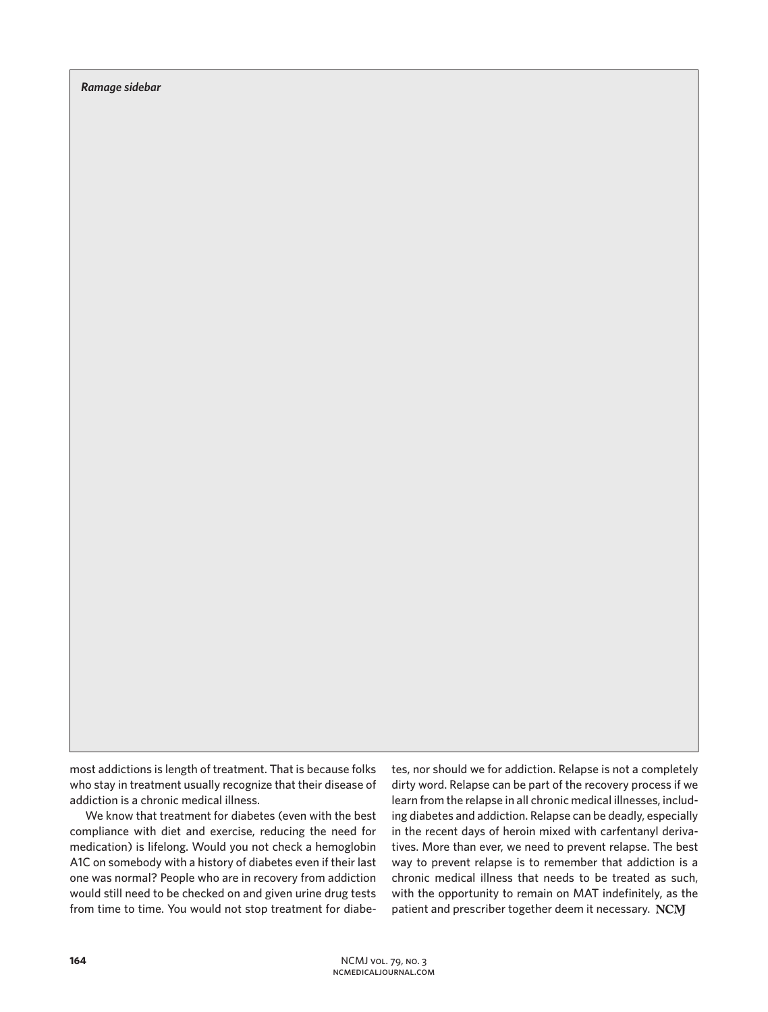*Ramage sidebar*

most addictions is length of treatment. That is because folks who stay in treatment usually recognize that their disease of addiction is a chronic medical illness.

We know that treatment for diabetes (even with the best compliance with diet and exercise, reducing the need for medication) is lifelong. Would you not check a hemoglobin A1C on somebody with a history of diabetes even if their last one was normal? People who are in recovery from addiction would still need to be checked on and given urine drug tests from time to time. You would not stop treatment for diabetes, nor should we for addiction. Relapse is not a completely dirty word. Relapse can be part of the recovery process if we learn from the relapse in all chronic medical illnesses, including diabetes and addiction. Relapse can be deadly, especially in the recent days of heroin mixed with carfentanyl derivatives. More than ever, we need to prevent relapse. The best way to prevent relapse is to remember that addiction is a chronic medical illness that needs to be treated as such, with the opportunity to remain on MAT indefinitely, as the patient and prescriber together deem it necessary. NCM